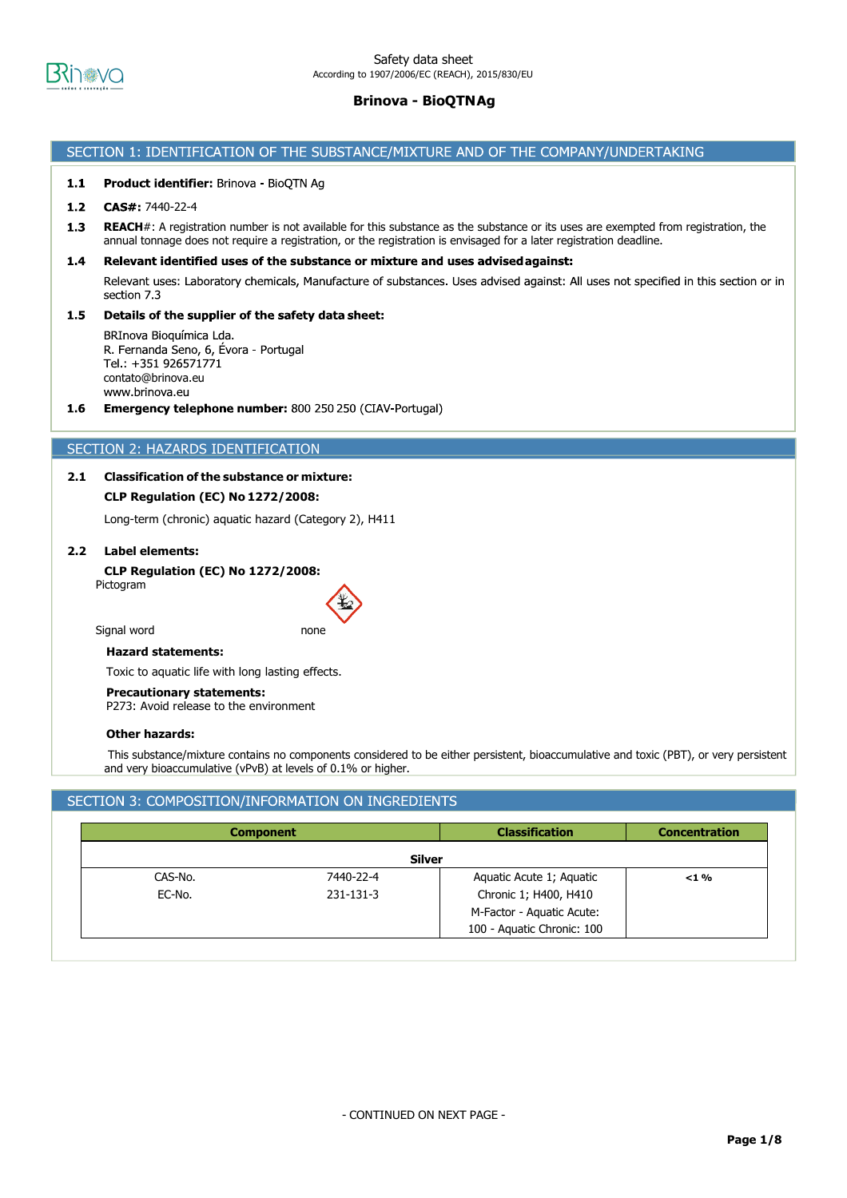

## SECTION 1: IDENTIFICATION OF THE SUBSTANCE/MIXTURE AND OF THE COMPANY/UNDERTAKING

#### $1.1$ Product identifier: Brinova - BioQTN Ag

#### $1.2$ CAS#: 7440-22-4

 $1.3$ **REACH**#: A registration number is not available for this substance as the substance or its uses are exempted from registration, the annual tonnage does not require a registration, or the registration is envisaged for a later registration deadline.

#### $1.4$ Relevant identified uses of the substance or mixture and uses advised against:

Relevant uses: Laboratory chemicals, Manufacture of substances. Uses advised against: All uses not specified in this section or in section 7.3

#### $1.5$ Details of the supplier of the safety data sheet:

BRInova Bioquímica Lda. R. Fernanda Seno, 6, Évora - Portugal Tel.: +351 926571771 contato@brinova.euwww.brinova.eu

 $1.6$ **Emergency telephone number:** 800 250 250 (CIAV-Portugal)

## SECTION 2: HAZARDS IDENTIFICATION

# **2.1 Classification of the substance or mixture:**

# **CLP Regulation (EC) No 1272/2008:**

Long-term (chronic) aquatic hazard (Category 2), H411

# **2.2 Label elements:**

**CLP Regulation (EC) No 1272/2008:** Pictogram

Signal word none



#### **Hazard statements:**

Toxic to aquatic life with long lasting effects.

**Precautionary statements:**

P273: Avoid release to the environment

#### **Other hazards:**

This substance/mixture contains no components considered to be either persistent, bioaccumulative and toxic (PBT), or very persistent and very bioaccumulative (vPvB) at levels of 0.1% or higher.

# SECTION 3: COMPOSITION/INFORMATION ON INGREDIENTS

|         | <b>Component</b> | <b>Classification</b>      | <b>Concentration</b> |
|---------|------------------|----------------------------|----------------------|
|         |                  | Silver                     |                      |
| CAS-No. | 7440-22-4        | Aquatic Acute 1; Aquatic   | $< 1 \%$             |
| EC-No.  | 231-131-3        | Chronic 1; H400, H410      |                      |
|         |                  | M-Factor - Aquatic Acute:  |                      |
|         |                  | 100 - Aquatic Chronic: 100 |                      |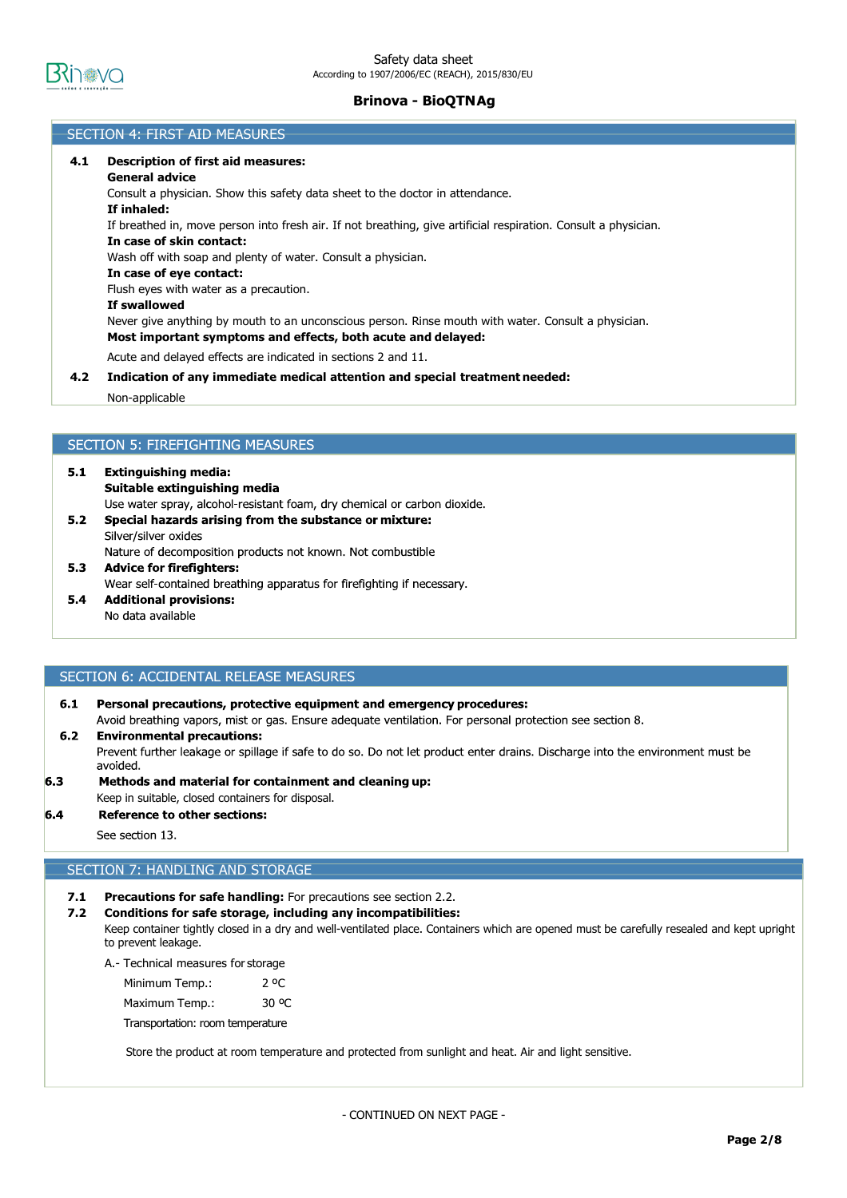

## SECTION 4: FIRST AID MEASURES

# **4.1 Description of first aid measures: General advice** Consult a physician. Show this safety data sheet to the doctor in attendance. **If inhaled:** If breathed in, move person into fresh air. If not breathing, give artificial respiration. Consult a physician. **In case of skin contact:** Wash off with soap and plenty of water. Consult a physician. **In case of eye contact:** Flush eyes with water as a precaution. **If swallowed** Never give anything by mouth to an unconscious person. Rinse mouth with water. Consult a physician. **Most important symptoms and effects, both acute and delayed:** Acute and delayed effects are indicated in sections 2 and 11. **4.2 Indication of any immediate medical attention and special treatment needed:** Non-applicable

# **SECTION 5: FIREFIGHTING MEASURES**

- $5.1$ **Extinguishing media:** Suitable extinguishing media Use water spray, alcohol-resistant foam, dry chemical or carbon dioxide.  $5.2$ Special hazards arising from the substance or mixture: Silver/silver oxides
	- Nature of decomposition products not known. Not combustible
- $5.3$ **Advice for firefighters:** Wear self-contained breathing apparatus for firefighting if necessary.
- $5.4$ **Additional provisions:** No data available

## SECTION 6: ACCIDENTAL RELEASE MEASURES

 $6.1$ Personal precautions, protective equipment and emergency procedures: Avoid breathing vapors, mist or gas. Ensure adequate ventilation. For personal protection see section 8.

#### **Environmental precautions:**  $6.2$

Prevent further leakage or spillage if safe to do so. Do not let product enter drains. Discharge into the environment must be avoided.

 $6.3$ Methods and material for containment and cleaning up:

## Keep in suitable, closed containers for disposal.

**Reference to other sections:** 

See section 13.

 $6.4$ 

# SECTION 7: HANDLING AND STORAGE

- **7.1 Precautions for safe handling:** For precautions see section 2.2.
- **7.2 Conditions for safe storage, including any incompatibilities:**

Keep container tightly closed in a dry and well-ventilated place. Containers which are opened must be carefully resealed and kept upright to prevent leakage.

A.- Technical measures for storage

| Minimum Temp.: | 2 °C  |
|----------------|-------|
| Maximum Temp.: | 30 °C |

Transportation: room temperature

Store the product at room temperature and protected from sunlight and heat. Air and light sensitive.

- CONTINUED ON NEXT PAGE -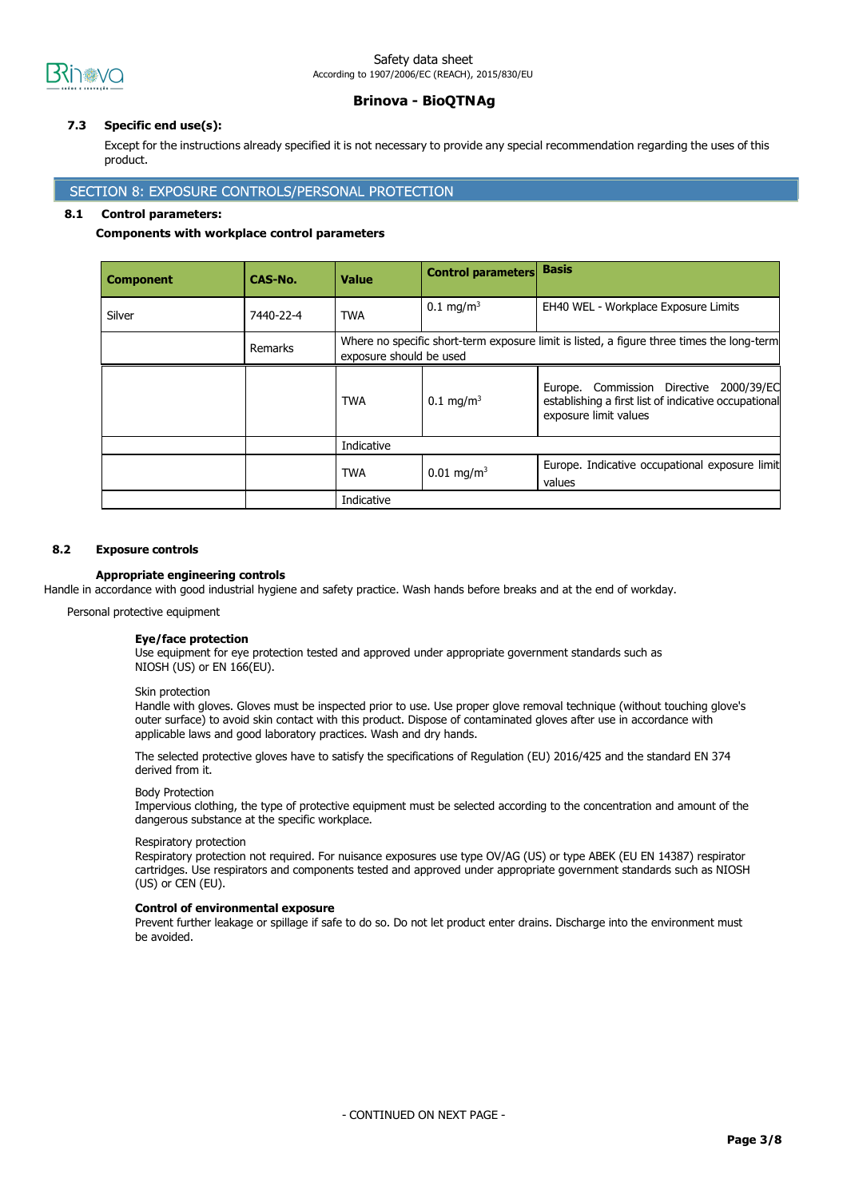

## Safety data sheet According to 1907/2006/EC (REACH), 2015/830/EU

# **Brinova - BioQTNAg**

## **7.3 Specific end use(s):**

Except for the instructions already specified it is not necessary to provide any special recommendation regarding the uses of this product.

## SECTION 8: EXPOSURE CONTROLS/PERSONAL PROTECTION

#### **8.1 Control parameters:**

#### **Components with workplace control parameters**

| <b>Component</b> | CAS-No.   | <b>Value</b>                                                                                                         | <b>Control parameters</b> | <b>Basis</b>                                                                                                             |
|------------------|-----------|----------------------------------------------------------------------------------------------------------------------|---------------------------|--------------------------------------------------------------------------------------------------------------------------|
| Silver           | 7440-22-4 | <b>TWA</b>                                                                                                           | $0.1 \text{ mg/m}^3$      | EH40 WEL - Workplace Exposure Limits                                                                                     |
|                  | Remarks   | Where no specific short-term exposure limit is listed, a figure three times the long-term<br>exposure should be used |                           |                                                                                                                          |
|                  |           | TWA                                                                                                                  | $0.1 \text{ mg/m}^3$      | Europe. Commission Directive 2000/39/EC<br>establishing a first list of indicative occupational<br>exposure limit values |
|                  |           | Indicative                                                                                                           |                           |                                                                                                                          |
|                  |           | <b>TWA</b>                                                                                                           | $0.01 \text{ mg/m}^3$     | Europe. Indicative occupational exposure limit<br>values                                                                 |
|                  |           | Indicative                                                                                                           |                           |                                                                                                                          |

## **8.2 Exposure controls**

## **Appropriate engineering controls**

Handle in accordance with good industrial hygiene and safety practice. Wash hands before breaks and at the end of workday.

Personal protective equipment

#### **Eye/face protection**

Use equipment for eye protection tested and approved under appropriate government standards such as NIOSH (US) or EN 166(EU).

#### Skin protection

Handle with gloves. Gloves must be inspected prior to use. Use proper glove removal technique (without touching glove's outer surface) to avoid skin contact with this product. Dispose of contaminated gloves after use in accordance with applicable laws and good laboratory practices. Wash and dry hands.

The selected protective gloves have to satisfy the specifications of Regulation (EU) 2016/425 and the standard EN 374 derived from it.

#### Body Protection

Impervious clothing, the type of protective equipment must be selected according to the concentration and amount of the dangerous substance at the specific workplace.

#### Respiratory protection

Respiratory protection not required. For nuisance exposures use type OV/AG (US) or type ABEK (EU EN 14387) respirator cartridges. Use respirators and components tested and approved under appropriate government standards such as NIOSH (US) or CEN (EU).

#### **Control of environmental exposure**

Prevent further leakage or spillage if safe to do so. Do not let product enter drains. Discharge into the environment must be avoided.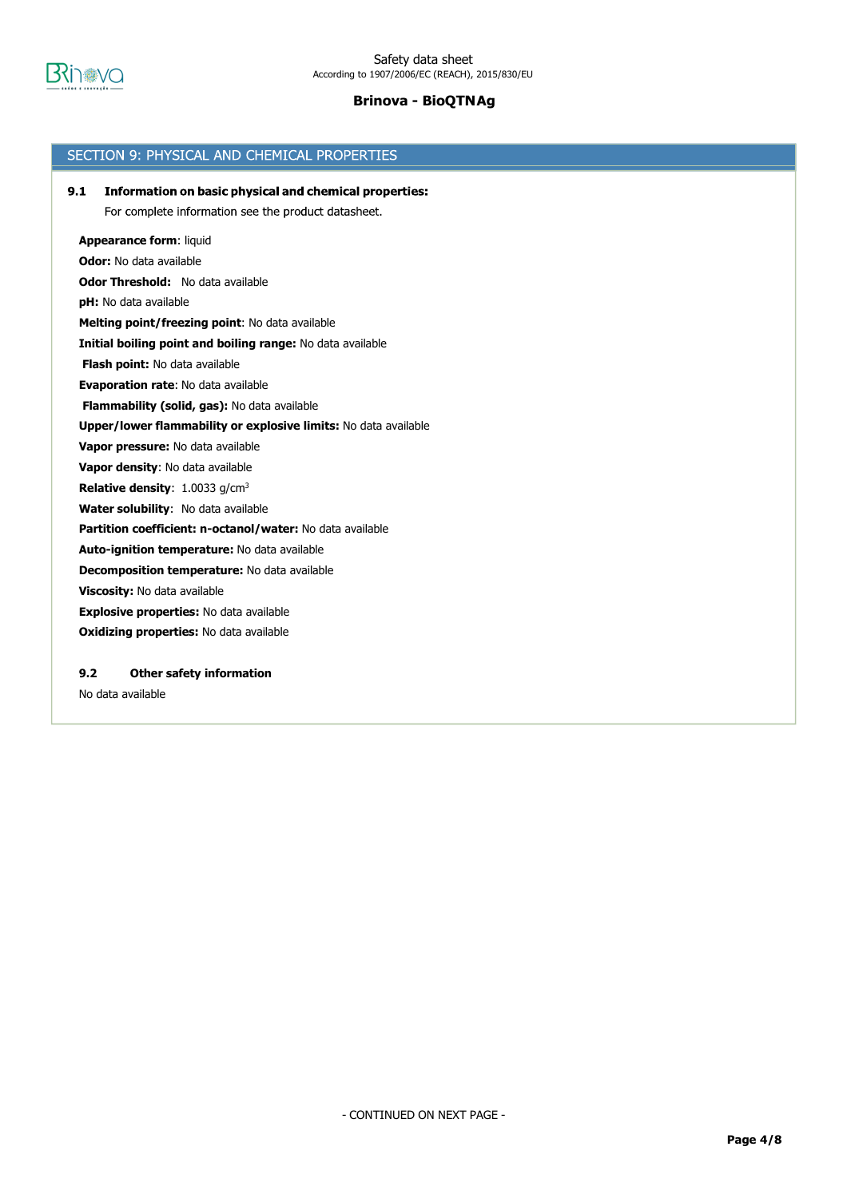

| SECTION 9: PHYSICAL AND CHEMICAL PROPERTIES                          |
|----------------------------------------------------------------------|
| 9.1<br><b>Information on basic physical and chemical properties:</b> |
| For complete information see the product datasheet.                  |
|                                                                      |
| <b>Appearance form: liquid</b>                                       |
| Odor: No data available                                              |
| <b>Odor Threshold:</b> No data available                             |
| <b>pH:</b> No data available                                         |
| Melting point/freezing point: No data available                      |
| Initial boiling point and boiling range: No data available           |
| Flash point: No data available                                       |
| <b>Evaporation rate: No data available</b>                           |
| Flammability (solid, gas): No data available                         |
| Upper/lower flammability or explosive limits: No data available      |
| Vapor pressure: No data available                                    |
| Vapor density: No data available                                     |
| <b>Relative density:</b> $1.0033$ g/cm <sup>3</sup>                  |
| Water solubility: No data available                                  |
| Partition coefficient: n-octanol/water: No data available            |
| Auto-ignition temperature: No data available                         |
| <b>Decomposition temperature:</b> No data available                  |
| Viscosity: No data available                                         |
| Explosive properties: No data available                              |
| Oxidizing properties: No data available                              |
|                                                                      |
| 9.2<br><b>Other safety information</b>                               |
| No data available                                                    |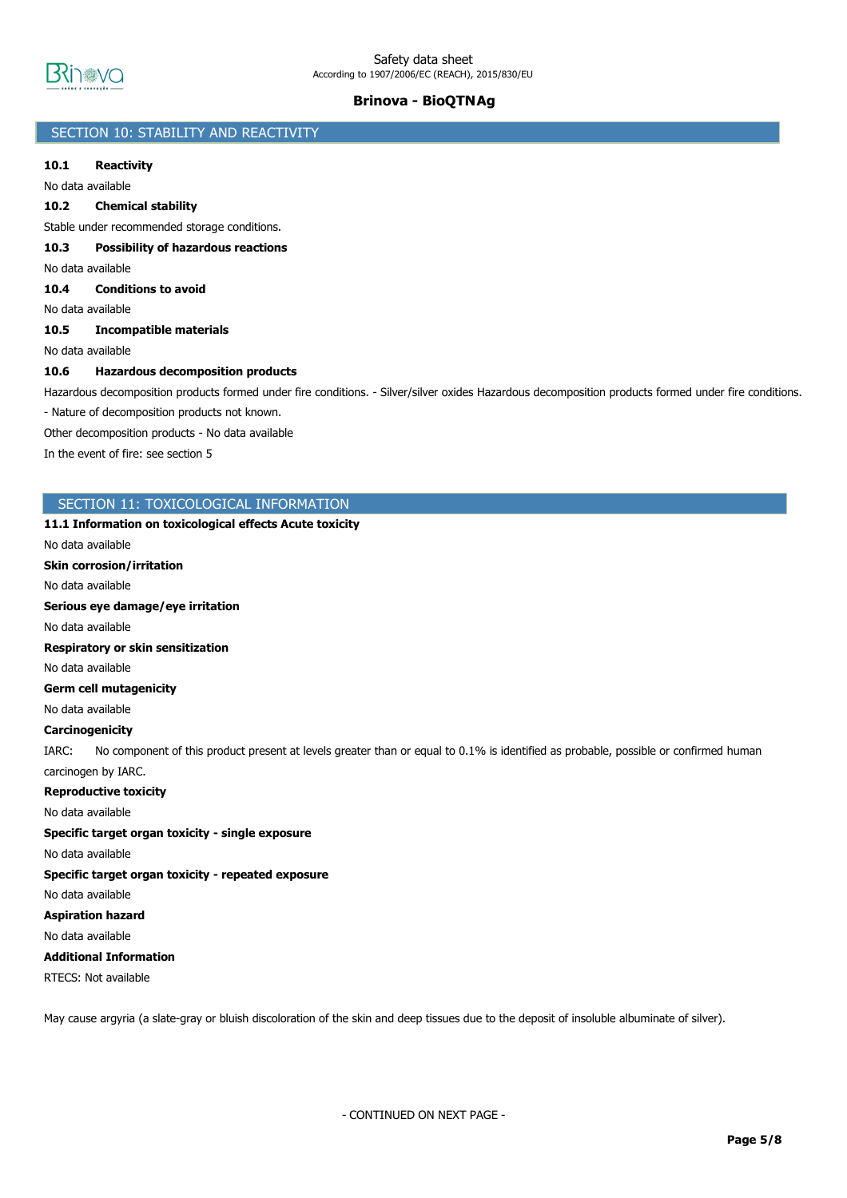

# SECTION 10: STABILITY AND REACTIVITY

## **10.1 Reactivity**

No data available

### **10.2 Chemical stability**

Stable under recommended storage conditions.

**10.3 Possibility of hazardous reactions**

No data available

**10.4 Conditions to avoid**

No data available

### **10.5 Incompatible materials**

No data available

#### **10.6 Hazardous decomposition products**

Hazardous decomposition products formed under fire conditions. - Silver/silver oxides Hazardous decomposition products formed under fire conditions.

- Nature of decomposition products not known.

Other decomposition products - No data available

In the event of fire: see section 5

#### SECTION 11: TOXICOLOGICAL INFORMATION

# **11.1 Information on toxicological effects Acute toxicity**

No data available

**Skin corrosion/irritation**

No data available

**Serious eye damage/eye irritation**

No data available

**Respiratory or skin sensitization**

No data available

**Germ cell mutagenicity**

No data available

#### **Carcinogenicity**

IARC: No component of this product present at levels greater than or equal to 0.1% is identified as probable, possible or confirmed human carcinogen by IARC.

**Reproductive toxicity**

No data available

# **Specific target organ toxicity - single exposure**

No data available

**Specific target organ toxicity - repeated exposure**

# No data available

**Aspiration hazard**

No data available

# **Additional Information**

RTECS: Not available

May cause argyria (a slate-gray or bluish discoloration of the skin and deep tissues due to the deposit of insoluble albuminate of silver).

- CONTINUED ON NEXT PAGE -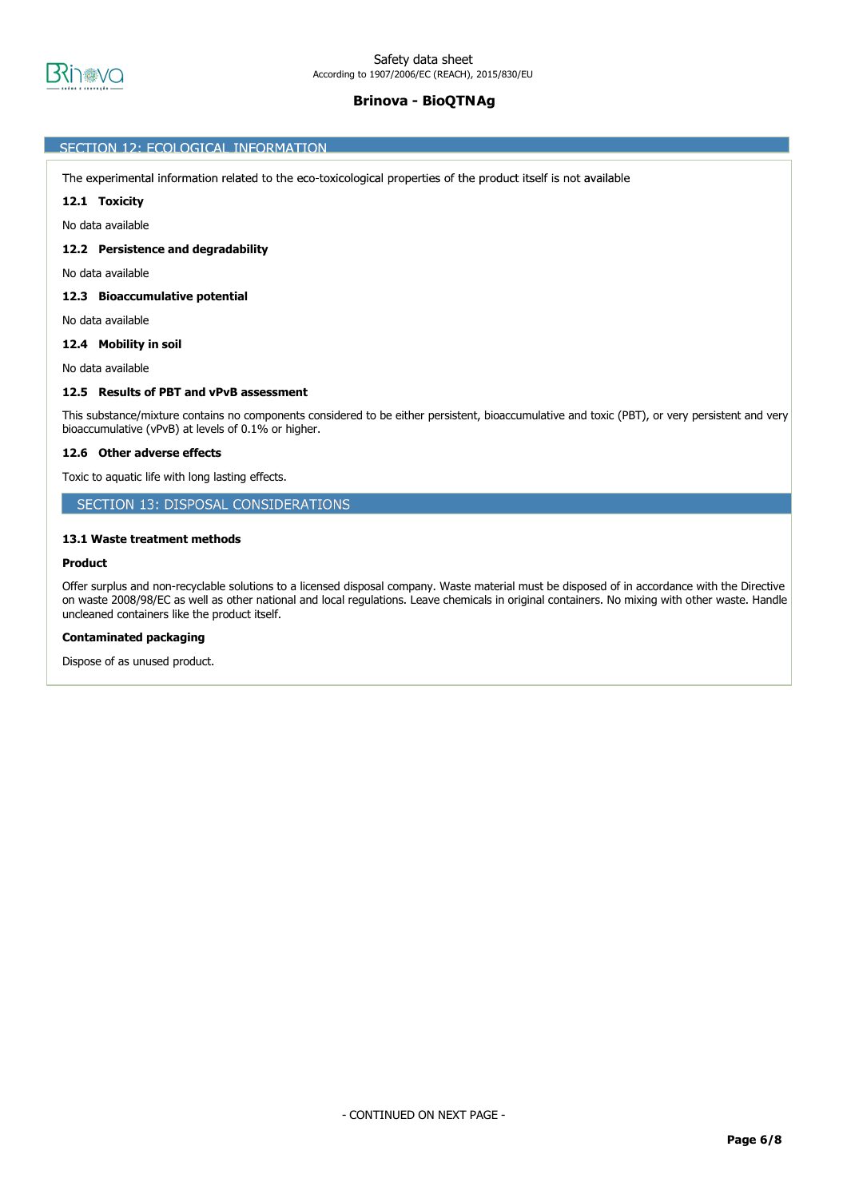

### SECTION 12: ECOLOGICAL INFORMATION

The experimental information related to the eco-toxicological properties of the product itself is not available

## **12.1 Toxicity**

No data available

#### **12.2 Persistence and degradability**

No data available

#### **12.3 Bioaccumulative potential**

No data available

## **12.4 Mobility in soil**

No data available

#### **12.5 Results of PBT and vPvB assessment**

This substance/mixture contains no components considered to be either persistent, bioaccumulative and toxic (PBT), or very persistent and very bioaccumulative (vPvB) at levels of 0.1% or higher.

#### **12.6 Other adverse effects**

Toxic to aquatic life with long lasting effects.

# SECTION 13: DISPOSAL CONSIDERATIONS

#### **13.1 Waste treatment methods**

#### **Product**

Offer surplus and non-recyclable solutions to a licensed disposal company. Waste material must be disposed of in accordance with the Directive on waste 2008/98/EC as well as other national and local regulations. Leave chemicals in original containers. No mixing with other waste. Handle uncleaned containers like the product itself.

#### **Contaminated packaging**

Dispose of as unused product.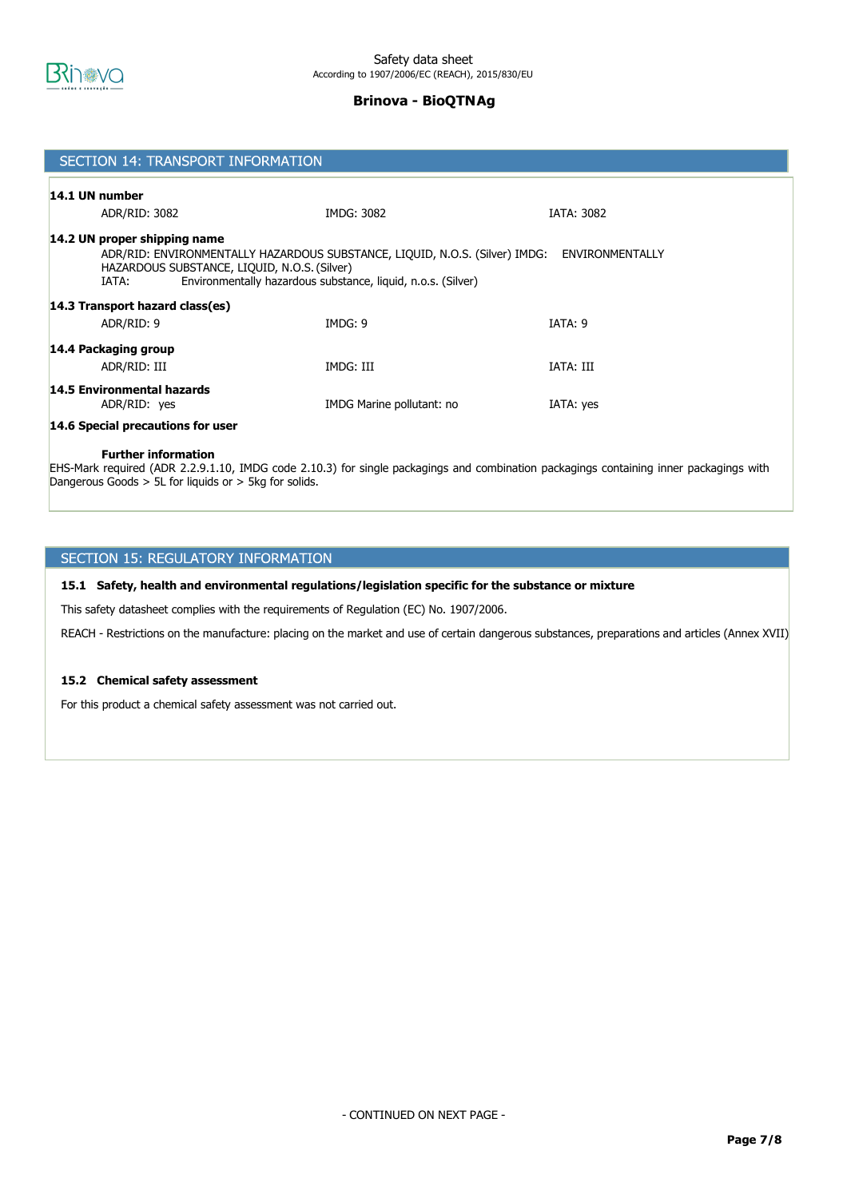

| SECTION 14: TRANSPORT INFORMATION                                                                                                                                                                                                                       |                           |                   |  |  |  |
|---------------------------------------------------------------------------------------------------------------------------------------------------------------------------------------------------------------------------------------------------------|---------------------------|-------------------|--|--|--|
| 14.1 UN number                                                                                                                                                                                                                                          |                           |                   |  |  |  |
| ADR/RID: 3082                                                                                                                                                                                                                                           | IMDG: 3082                | <b>IATA: 3082</b> |  |  |  |
| 14.2 UN proper shipping name<br>ADR/RID: ENVIRONMENTALLY HAZARDOUS SUBSTANCE, LIQUID, N.O.S. (Silver) IMDG:<br>ENVIRONMENTALLY<br>HAZARDOUS SUBSTANCE, LIQUID, N.O.S. (Silver)<br>Environmentally hazardous substance, liquid, n.o.s. (Silver)<br>IATA: |                           |                   |  |  |  |
| 14.3 Transport hazard class(es)                                                                                                                                                                                                                         |                           |                   |  |  |  |
| ADR/RID: 9                                                                                                                                                                                                                                              | IMDG: 9                   | IATA: 9           |  |  |  |
| 14.4 Packaging group<br>ADR/RID: III                                                                                                                                                                                                                    | IMDG: III                 | IATA: III         |  |  |  |
| 14.5 Environmental hazards<br>ADR/RID: yes                                                                                                                                                                                                              | IMDG Marine pollutant: no | IATA: yes         |  |  |  |
| 14.6 Special precautions for user                                                                                                                                                                                                                       |                           |                   |  |  |  |
| <b>Further information</b>                                                                                                                                                                                                                              |                           |                   |  |  |  |

EHS-Mark required (ADR 2.2.9.1.10, IMDG code 2.10.3) for single packagings and combination packagings containing inner packagings with Dangerous Goods > 5L for liquids or > 5kg for solids.

# SECTION 15: REGULATORY INFORMATION

## **15.1 Safety, health and environmental regulations/legislation specific for the substance or mixture**

This safety datasheet complies with the requirements of Regulation (EC) No. 1907/2006.

REACH - Restrictions on the manufacture: placing on the market and use of certain dangerous substances, preparations and articles (Annex XVII)

## **15.2 Chemical safety assessment**

For this product a chemical safety assessment was not carried out.